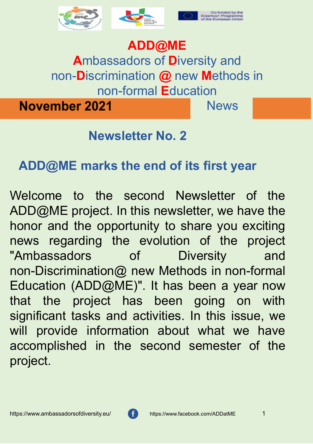





## **ADD@ME**

**A**mbassadors of **D**iversity and non-**D**iscrimination **@** new **M**ethods in non-formal **E**ducation

**November 2021** 

**News** 

#### **Newsletter No. 2**

#### **ADD@ME marks the end of its first year**

Welcome to the second Newsletter of the ADD@ME project. In this newsletter, we have the honor and the opportunity to share you exciting news regarding the evolution of the project "Ambassadors of Diversity and non-Discrimination@ new Methods in non-formal Education (ADD@ME)". It has been a year now that the project has been going on with significant tasks and activities. In this issue, we will provide information about what we have accomplished in the second semester of the project.

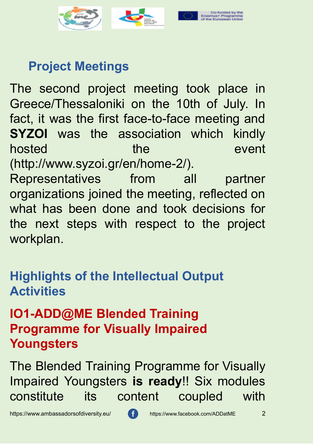

#### **Project Meetings**

The second project meeting took place in Greece/Thessaloniki on the 10th of July. In fact, it was the first face-to-face meeting and **SYZOI** was the association which kindly hosted the event (http://www.syzoi.gr/en/home-2/). Representatives from all partner organizations joined the meeting, reflected on what has been done and took decisions for the next steps with respect to the project

workplan.

#### **Highlights of the Intellectual Output Activities**

#### **IO1-ADD@ME Blended Training Programme for Visually Impaired Youngsters**

The Blended Training Programme for Visually Impaired Youngsters **is ready**!! Six modules constitute its content coupled with

https://www.ambassadorsofdiversity.eu/ https://www.facebook.com/ADDatME 2

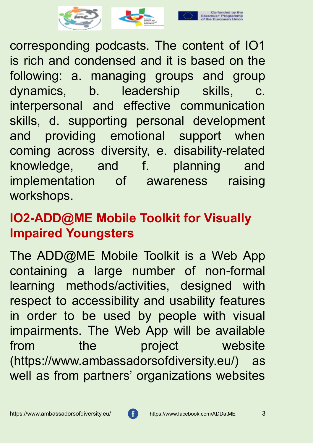

corresponding podcasts. The content of IO1 is rich and condensed and it is based on the following: a. managing groups and group dynamics, b. leadership skills, c. interpersonal and effective communication skills, d. supporting personal development and providing emotional support when coming across diversity, e. disability-related knowledge, and f. planning and implementation of awareness raising workshops.

#### **IO2-ADD@ME Mobile Toolkit for Visually Impaired Youngsters**

The ADD@ME Mobile Toolkit is a Web App containing a large number of non-formal learning methods/activities, designed with respect to accessibility and usability features in order to be used by people with visual impairments. The Web App will be available from the project website (https://www.ambassadorsofdiversity.eu/) as well as from partners' organizations websites

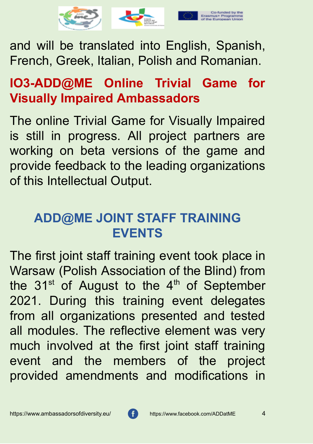

and will be translated into English, Spanish, French, Greek, Italian, Polish and Romanian.

# **IO3-ADD@ME Online Trivial Game for Visually Impaired Ambassadors**

The online Trivial Game for Visually Impaired is still in progress. All project partners are working on beta versions of the game and provide feedback to the leading organizations of this Intellectual Output.

### **ADD@ME JOINT STAFF TRAINING EVENTS**

The first joint staff training event took place in Warsaw (Polish Association of the Blind) from the  $31<sup>st</sup>$  of August to the  $4<sup>th</sup>$  of September 2021. During this training event delegates from all organizations presented and tested all modules. The reflective element was very much involved at the first joint staff training event and the members of the project provided amendments and modifications in

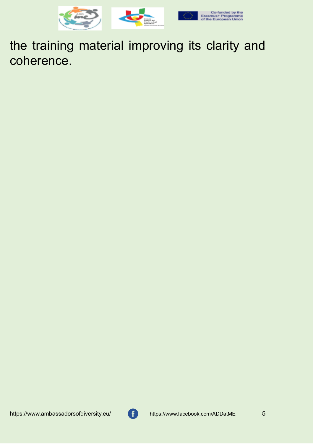

the training material improving its clarity and coherence.

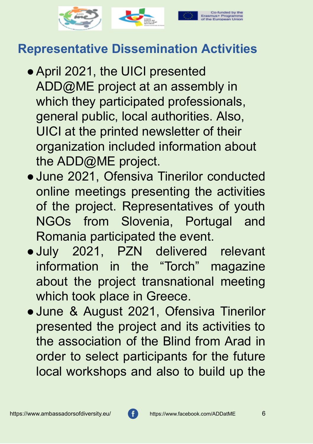

#### **Representative Dissemination Activities**

- April 2021, the UICI presented ADD@ME project at an assembly in which they participated professionals, general public, local authorities. Also, UICI at the printed newsletter of their organization included information about the ADD@ME project.
- ●June 2021, Ofensiva Tinerilor conducted online meetings presenting the activities of the project. Representatives of youth NGOs from Slovenia, Portugal and Romania participated the event.
- ●July 2021, PZN delivered relevant information in the "Torch" magazine about the project transnational meeting which took place in Greece.
- ●June & August 2021, Ofensiva Tinerilor presented the project and its activities to the association of the Blind from Arad in order to select participants for the future local workshops and also to build up the

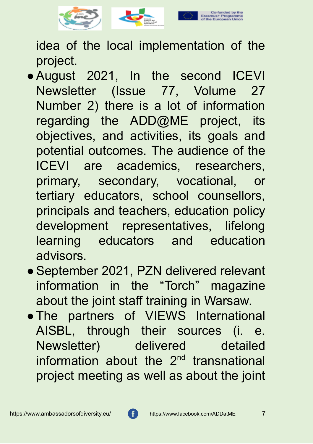

idea of the local implementation of the project.

- ●August 2021, In the second ICEVI Newsletter (Issue 77, Volume 27 Number 2) there is a lot of information regarding the ADD@ME project, its objectives, and activities, its goals and potential outcomes. The audience of the ICEVI are academics, researchers, primary, secondary, vocational, or tertiary educators, school counsellors, principals and teachers, education policy development representatives, lifelong learning educators and education advisors.
- ●September 2021, PZN delivered relevant information in the "Torch" magazine about the joint staff training in Warsaw.
- ●The partners of VIEWS International AISBL, through their sources (i. e. Newsletter) delivered detailed information about the 2<sup>nd</sup> transnational project meeting as well as about the joint

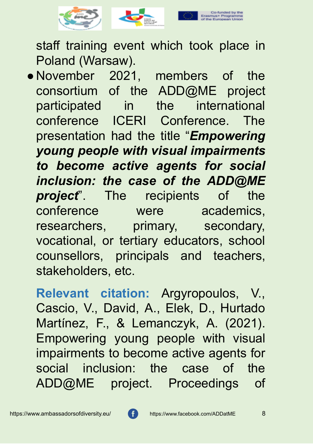

staff training event which took place in Poland (Warsaw).

● November 2021, members of the consortium of the ADD@ME project participated in the international conference ICERI Conference. The presentation had the title "*Empowering young people with visual impairments to become active agents for social inclusion: the case of the ADD@ME project*". The recipients of the conference were academics, researchers, primary, secondary, vocational, or tertiary educators, school counsellors, principals and teachers, stakeholders, etc.

**Relevant citation:** Argyropoulos, V., Cascio, V., David, A., Elek, D., Hurtado Martínez, F., & Lemanczyk, A. (2021). Empowering young people with visual impairments to become active agents for social inclusion: the case of the ADD@ME project. Proceedings of

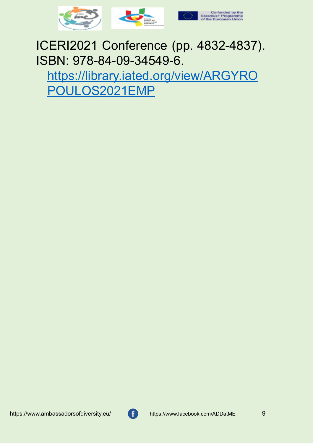

ICERI2021 Conference (pp. 4832-4837). ISBN: 978-84-09-34549-6.

[https://library.iated.org/view/ARGYRO](https://library.iated.org/view/ARGYROPOULOS2021EMP) [POULOS2021EMP](https://library.iated.org/view/ARGYROPOULOS2021EMP)

https://www.ambassadorsofdiversity.eu/ https://www.facebook.com/ADDatME 9

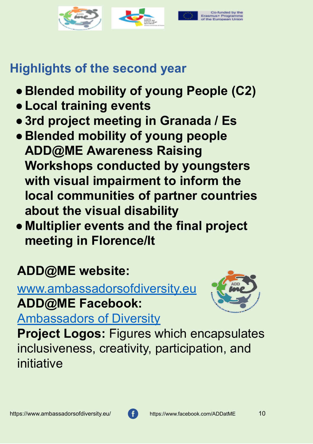

## **Highlights of the second year**

- **● Blended mobility of young People (C2)**
- **●Local training events**
- **●3rd project meeting in Granada / Es**
- **● Blended mobility of young people ADD@ME Awareness Raising Workshops conducted by youngsters with visual impairment to inform the local communities of partner countries about the visual disability**
- **● Multiplier events and the final project meeting in Florence/It**

# **ADD@ME website:**

[www.ambassadorsofdiversity.eu](http://www.ambassadorsofdiversity.eu/) **ADD@ME Facebook:**



[Ambassadors of Diversity](https://www.facebook.com/ADDatME)

**Project Logos:** Figures which encapsulates inclusiveness, creativity, participation, and initiative

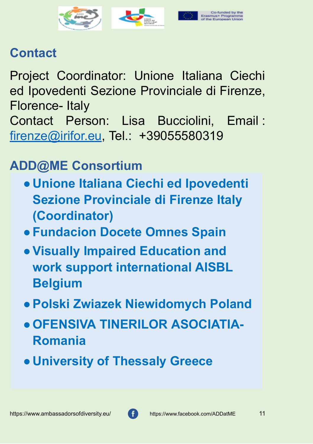

## **Contact**

Project Coordinator: Unione Italiana Ciechi ed Ipovedenti Sezione Provinciale di Firenze, Florence- Italy Contact Person: Lisa Bucciolini, Email : [firenze@irifor.eu](mailto:firenze@irifor.eu), Tel.: +39055580319

# **ADD@ME Consortium**

- **● Unione Italiana Ciechi ed Ipovedenti Sezione Provinciale di Firenze Italy (Coordinator)**
- **●Fundacion Docete Omnes Spain**
- **●Visually Impaired Education and work support international AISBL Belgium**
- **●Polski Zwiazek Niewidomych Poland**
- **●OFENSIVA TINERILOR ASOCIATIA-Romania**
- **● University of Thessaly Greece**